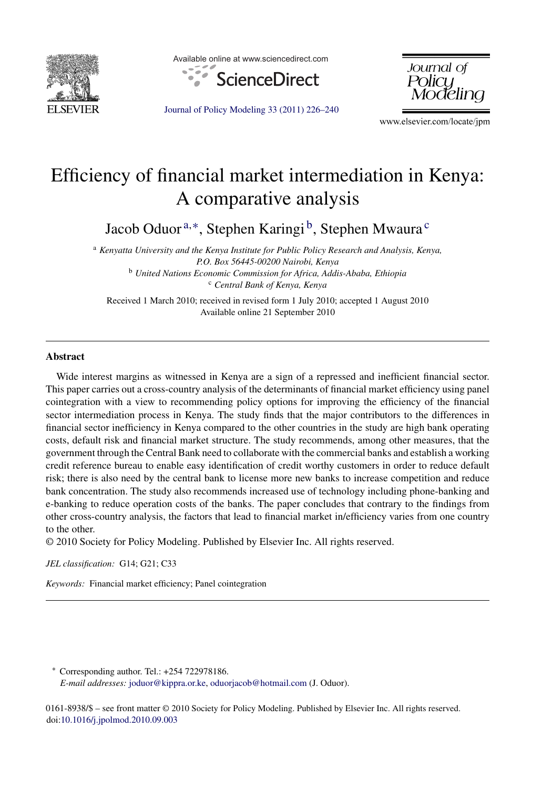

Available online at www.sciencedirect.com



[Journal of Policy Modeling 33 \(2011\) 226–240](dx.doi.org/10.1016/j.jpolmod.2010.09.003)

Journal of Policu

www.elsevier.com/locate/jpm

## Efficiency of financial market intermediation in Kenya: A comparative analysis

Jacob Oduor<sup>a,∗</sup>, Stephen Karingi<sup>b</sup>, Stephen Mwaura<sup>c</sup>

<sup>a</sup> *Kenyatta University and the Kenya Institute for Public Policy Research and Analysis, Kenya, P.O. Box 56445-00200 Nairobi, Kenya* <sup>b</sup> *United Nations Economic Commission for Africa, Addis-Ababa, Ethiopia* <sup>c</sup> *Central Bank of Kenya, Kenya*

Received 1 March 2010; received in revised form 1 July 2010; accepted 1 August 2010 Available online 21 September 2010

## **Abstract**

Wide interest margins as witnessed in Kenya are a sign of a repressed and inefficient financial sector. This paper carries out a cross-country analysis of the determinants of financial market efficiency using panel cointegration with a view to recommending policy options for improving the efficiency of the financial sector intermediation process in Kenya. The study finds that the major contributors to the differences in financial sector inefficiency in Kenya compared to the other countries in the study are high bank operating costs, default risk and financial market structure. The study recommends, among other measures, that the government through the Central Bank need to collaborate with the commercial banks and establish a working credit reference bureau to enable easy identification of credit worthy customers in order to reduce default risk; there is also need by the central bank to license more new banks to increase competition and reduce bank concentration. The study also recommends increased use of technology including phone-banking and e-banking to reduce operation costs of the banks. The paper concludes that contrary to the findings from other cross-country analysis, the factors that lead to financial market in/efficiency varies from one country to the other.

© 2010 Society for Policy Modeling. Published by Elsevier Inc. All rights reserved.

*JEL classification:* G14; G21; C33

*Keywords:* Financial market efficiency; Panel cointegration

∗ Corresponding author. Tel.: +254 722978186. *E-mail addresses:* [joduor@kippra.or.ke](mailto:joduor@kippra.or.ke), [oduorjacob@hotmail.com](mailto:oduorjacob@hotmail.com) (J. Oduor).

0161-8938/\$ – see front matter © 2010 Society for Policy Modeling. Published by Elsevier Inc. All rights reserved. doi[:10.1016/j.jpolmod.2010.09.003](dx.doi.org/10.1016/j.jpolmod.2010.09.003)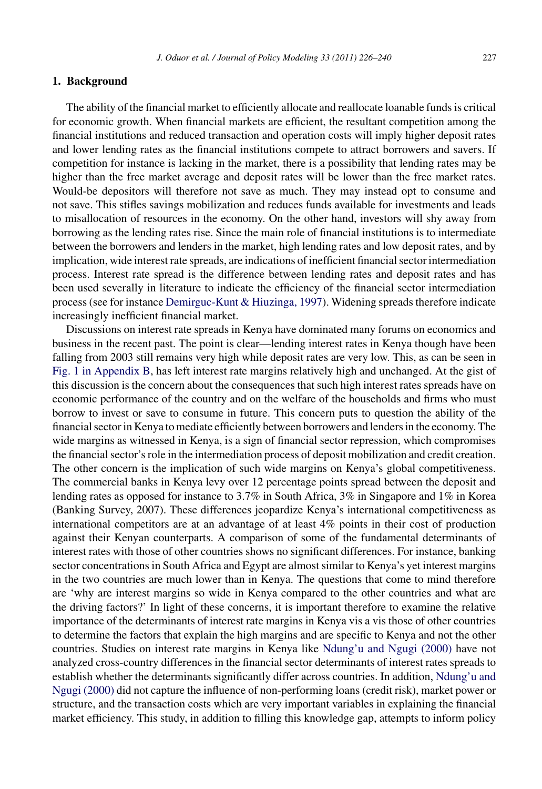## **1. Background**

The ability of the financial market to efficiently allocate and reallocate loanable funds is critical for economic growth. When financial markets are efficient, the resultant competition among the financial institutions and reduced transaction and operation costs will imply higher deposit rates and lower lending rates as the financial institutions compete to attract borrowers and savers. If competition for instance is lacking in the market, there is a possibility that lending rates may be higher than the free market average and deposit rates will be lower than the free market rates. Would-be depositors will therefore not save as much. They may instead opt to consume and not save. This stifles savings mobilization and reduces funds available for investments and leads to misallocation of resources in the economy. On the other hand, investors will shy away from borrowing as the lending rates rise. Since the main role of financial institutions is to intermediate between the borrowers and lenders in the market, high lending rates and low deposit rates, and by implication, wide interest rate spreads, are indications of inefficient financial sector intermediation process. Interest rate spread is the difference between lending rates and deposit rates and has been used severally in literature to indicate the efficiency of the financial sector intermediation process (see for instance [Demirguc-Kunt & Hiuzinga, 1997\).](#page--1-0) Widening spreads therefore indicate increasingly inefficient financial market.

Discussions on interest rate spreads in Kenya have dominated many forums on economics and business in the recent past. The point is clear—lending interest rates in Kenya though have been falling from 2003 still remains very high while deposit rates are very low. This, as can be seen in [Fig. 1 in Appendix B, h](#page--1-0)as left interest rate margins relatively high and unchanged. At the gist of this discussion is the concern about the consequences that such high interest rates spreads have on economic performance of the country and on the welfare of the households and firms who must borrow to invest or save to consume in future. This concern puts to question the ability of the financial sector in Kenya to mediate efficiently between borrowers and lenders in the economy. The wide margins as witnessed in Kenya, is a sign of financial sector repression, which compromises the financial sector's role in the intermediation process of deposit mobilization and credit creation. The other concern is the implication of such wide margins on Kenya's global competitiveness. The commercial banks in Kenya levy over 12 percentage points spread between the deposit and lending rates as opposed for instance to 3.7% in South Africa, 3% in Singapore and 1% in Korea (Banking Survey, 2007). These differences jeopardize Kenya's international competitiveness as international competitors are at an advantage of at least 4% points in their cost of production against their Kenyan counterparts. A comparison of some of the fundamental determinants of interest rates with those of other countries shows no significant differences. For instance, banking sector concentrations in South Africa and Egypt are almost similar to Kenya's yet interest margins in the two countries are much lower than in Kenya. The questions that come to mind therefore are 'why are interest margins so wide in Kenya compared to the other countries and what are the driving factors?' In light of these concerns, it is important therefore to examine the relative importance of the determinants of interest rate margins in Kenya vis a vis those of other countries to determine the factors that explain the high margins and are specific to Kenya and not the other countries. Studies on interest rate margins in Kenya like [Ndung'u and Ngugi \(2000\)](#page--1-0) have not analyzed cross-country differences in the financial sector determinants of interest rates spreads to establish whether the determinants significantly differ across countries. In addition, [Ndung'u and](#page--1-0) [Ngugi \(2000\)](#page--1-0) did not capture the influence of non-performing loans (credit risk), market power or structure, and the transaction costs which are very important variables in explaining the financial market efficiency. This study, in addition to filling this knowledge gap, attempts to inform policy